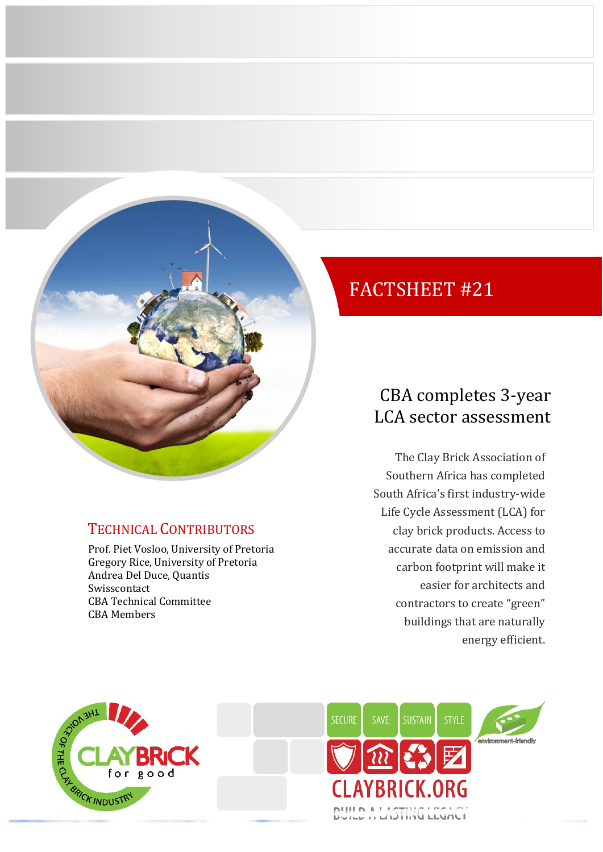

## TECHNICAL CONTRIBUTORS

Prof. Piet Vosloo, University of Pretoria Gregory Rice, University of Pretoria Andrea Del Duce, Quantis Swisscontact CBA Technical Committee CBA Members

# FACTSHEET #21

## CBA completes 3-year LCA sector assessment

The Clay Brick Association of Southern Africa has completed South Africa's first industry-wide Life Cycle Assessment (LCA) for clay brick products. Access to accurate data on emission and carbon footprint will make it easier for architects and contractors to create "green" buildings that are naturally energy efficient.



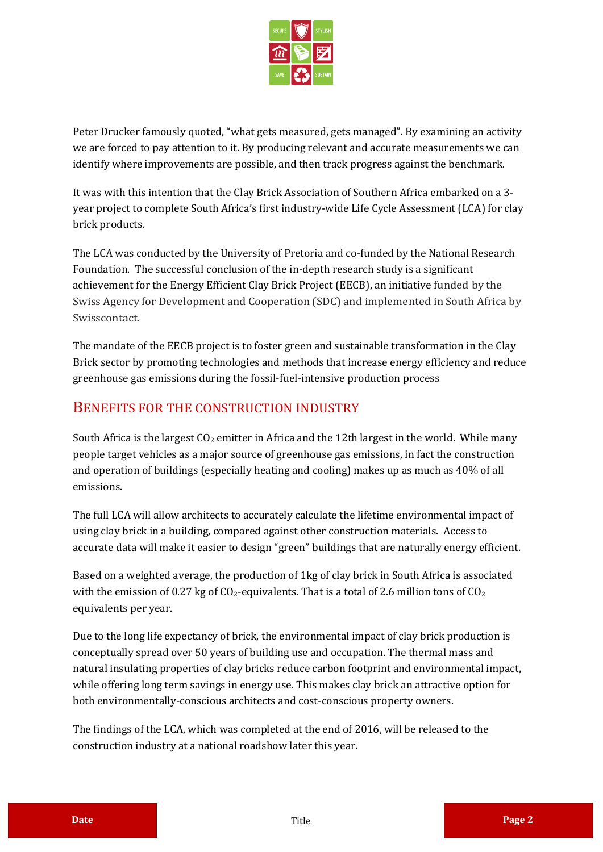

Peter Drucker famously quoted, "what gets measured, gets managed". By examining an activity we are forced to pay attention to it. By producing relevant and accurate measurements we can identify where improvements are possible, and then track progress against the benchmark.

It was with this intention that the Clay Brick Association of Southern Africa embarked on a 3 year project to complete South Africa's first industry-wide Life Cycle Assessment (LCA) for clay brick products.

The LCA was conducted by the University of Pretoria and co-funded by the National Research Foundation. The successful conclusion of the in-depth research study is a significant achievement for the Energy Efficient Clay Brick Project (EECB), an initiative funded by the Swiss Agency for Development and Cooperation (SDC) and implemented in South Africa by Swisscontact.

The mandate of the EECB project is to foster green and sustainable transformation in the Clay Brick sector by promoting technologies and methods that increase energy efficiency and reduce greenhouse gas emissions during the fossil-fuel-intensive production process

#### BENEFITS FOR THE CONSTRUCTION INDUSTRY

South Africa is the largest  $CO_2$  emitter in Africa and the 12th largest in the world. While many people target vehicles as a major source of greenhouse gas emissions, in fact the construction and operation of buildings (especially heating and cooling) makes up as much as 40% of all emissions.

The full LCA will allow architects to accurately calculate the lifetime environmental impact of using clay brick in a building, compared against other construction materials. Access to accurate data will make it easier to design "green" buildings that are naturally energy efficient.

Based on a weighted average, the production of 1kg of clay brick in South Africa is associated with the emission of 0.27 kg of  $CO_2$ -equivalents. That is a total of 2.6 million tons of  $CO_2$ equivalents per year.

Due to the long life expectancy of brick, the environmental impact of clay brick production is conceptually spread over 50 years of building use and occupation. The thermal mass and natural insulating properties of clay bricks reduce carbon footprint and environmental impact, while offering long term savings in energy use. This makes clay brick an attractive option for both environmentally-conscious architects and cost-conscious property owners.

The findings of the LCA, which was completed at the end of 2016, will be released to the construction industry at a national roadshow later this year.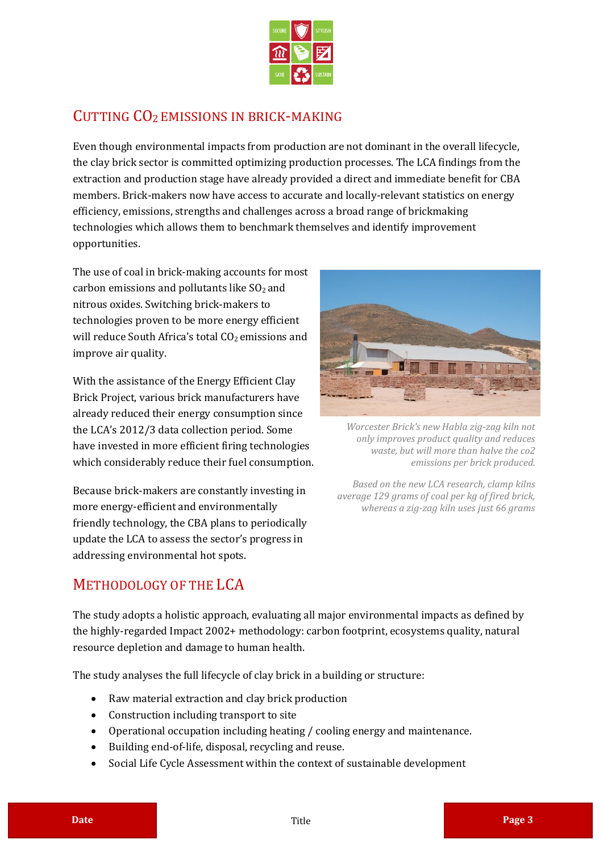

### CUTTING CO<sup>2</sup> EMISSIONS IN BRICK-MAKING

Even though environmental impacts from production are not dominant in the overall lifecycle, the clay brick sector is committed optimizing production processes. The LCA findings from the extraction and production stage have already provided a direct and immediate benefit for CBA members. Brick-makers now have access to accurate and locally-relevant statistics on energy efficiency, emissions, strengths and challenges across a broad range of brickmaking technologies which allows them to benchmark themselves and identify improvement opportunities.

The use of coal in brick-making accounts for most carbon emissions and pollutants like  $SO<sub>2</sub>$  and nitrous oxides. Switching brick-makers to technologies proven to be more energy efficient will reduce South Africa's total  $CO<sub>2</sub>$  emissions and improve air quality.

With the assistance of the Energy Efficient Clay Brick Project, various brick manufacturers have already reduced their energy consumption since the LCA's 2012/3 data collection period. Some have invested in more efficient firing technologies which considerably reduce their fuel consumption.

Because brick-makers are constantly investing in more energy-efficient and environmentally friendly technology, the CBA plans to periodically update the LCA to assess the sector's progress in addressing environmental hot spots.



*Worcester Brick's new Habla zig-zag kiln not only improves product quality and reduces waste, but will more than halve the co2 emissions per brick produced.*

*Based on the new LCA research, clamp kilns average 129 grams of coal per kg of fired brick, whereas a zig-zag kiln uses just 66 grams*

#### METHODOLOGY OF THE LCA

The study adopts a holistic approach, evaluating all major environmental impacts as defined by the highly-regarded Impact 2002+ methodology: carbon footprint, ecosystems quality, natural resource depletion and damage to human health.

The study analyses the full lifecycle of clay brick in a building or structure:

- Raw material extraction and clay brick production
- Construction including transport to site
- Operational occupation including heating / cooling energy and maintenance.
- Building end-of-life, disposal, recycling and reuse.
- Social Life Cycle Assessment within the context of sustainable development